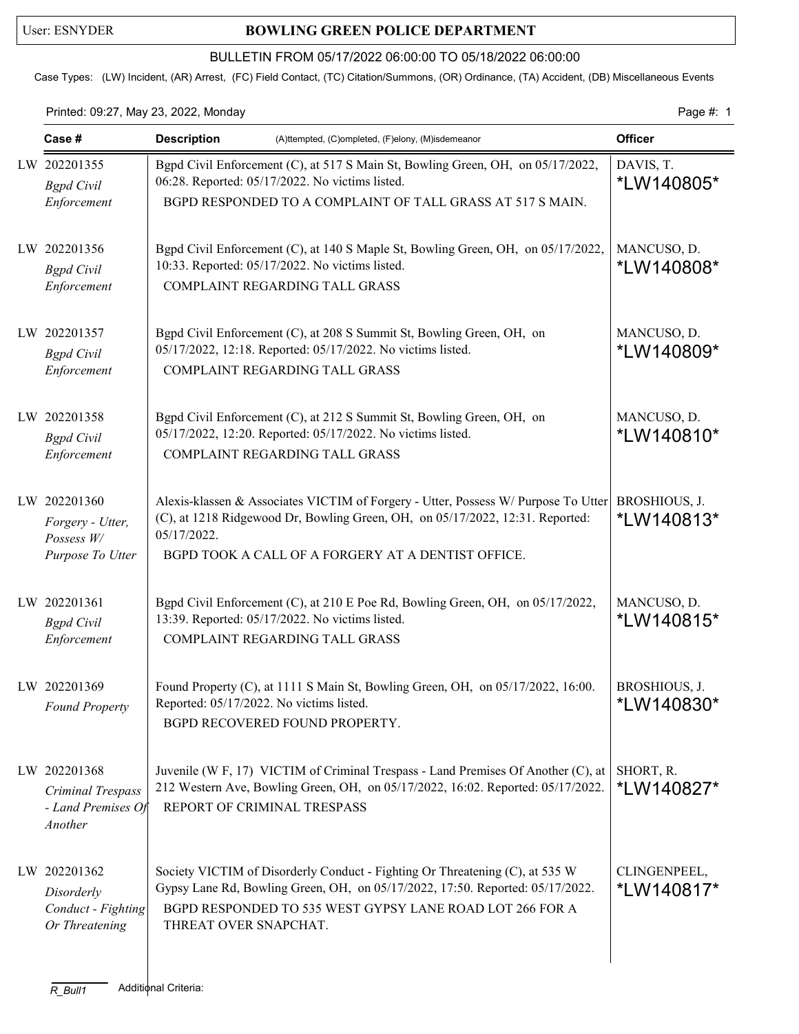## User: ESNYDER **BOWLING GREEN POLICE DEPARTMENT**

#### BULLETIN FROM 05/17/2022 06:00:00 TO 05/18/2022 06:00:00

Case Types: (LW) Incident, (AR) Arrest, (FC) Field Contact, (TC) Citation/Summons, (OR) Ordinance, (TA) Accident, (DB) Miscellaneous Events

### Printed: 09:27, May 23, 2022, Monday Page #: 1

| Case #                                                             | <b>Description</b>                                                                | (A)ttempted, (C)ompleted, (F)elony, (M)isdemeanor                                                                                                                                                                         | <b>Officer</b>                     |
|--------------------------------------------------------------------|-----------------------------------------------------------------------------------|---------------------------------------------------------------------------------------------------------------------------------------------------------------------------------------------------------------------------|------------------------------------|
| LW 202201355<br><b>Bgpd</b> Civil<br>Enforcement                   | 06:28. Reported: 05/17/2022. No victims listed.                                   | Bgpd Civil Enforcement (C), at 517 S Main St, Bowling Green, OH, on 05/17/2022,<br>BGPD RESPONDED TO A COMPLAINT OF TALL GRASS AT 517 S MAIN.                                                                             | DAVIS, T.<br>*LW140805*            |
| LW 202201356<br><b>Bgpd</b> Civil<br>Enforcement                   | 10:33. Reported: 05/17/2022. No victims listed.<br>COMPLAINT REGARDING TALL GRASS | Bgpd Civil Enforcement (C), at 140 S Maple St, Bowling Green, OH, on 05/17/2022,                                                                                                                                          | MANCUSO, D.<br><i>*</i> LW140808*  |
| LW 202201357<br><b>Bgpd</b> Civil<br>Enforcement                   | COMPLAINT REGARDING TALL GRASS                                                    | Bgpd Civil Enforcement (C), at 208 S Summit St, Bowling Green, OH, on<br>05/17/2022, 12:18. Reported: 05/17/2022. No victims listed.                                                                                      | MANCUSO, D.<br>*LW140809*          |
| LW 202201358<br><b>Bgpd</b> Civil<br>Enforcement                   | COMPLAINT REGARDING TALL GRASS                                                    | Bgpd Civil Enforcement (C), at 212 S Summit St, Bowling Green, OH, on<br>05/17/2022, 12:20. Reported: 05/17/2022. No victims listed.                                                                                      | MANCUSO, D.<br>*LW140810*          |
| LW 202201360<br>Forgery - Utter,<br>Possess W/<br>Purpose To Utter | 05/17/2022.                                                                       | Alexis-klassen & Associates VICTIM of Forgery - Utter, Possess W/ Purpose To Utter<br>(C), at 1218 Ridgewood Dr, Bowling Green, OH, on 05/17/2022, 12:31. Reported:<br>BGPD TOOK A CALL OF A FORGERY AT A DENTIST OFFICE. | BROSHIOUS, J.<br>*LW140813*        |
| LW 202201361<br><b>Bgpd</b> Civil<br>Enforcement                   | 13:39. Reported: 05/17/2022. No victims listed.<br>COMPLAINT REGARDING TALL GRASS | Bgpd Civil Enforcement (C), at 210 E Poe Rd, Bowling Green, OH, on 05/17/2022,                                                                                                                                            | MANCUSO, D.<br>*LW140815*          |
| LW 202201369<br>Found Property                                     | Reported: 05/17/2022. No victims listed.<br>BGPD RECOVERED FOUND PROPERTY.        | Found Property (C), at 1111 S Main St, Bowling Green, OH, on 05/17/2022, 16:00.                                                                                                                                           | BROSHIOUS, J.<br>*LW140830*        |
| LW 202201368<br>Criminal Trespass<br>- Land Premises Of<br>Another | REPORT OF CRIMINAL TRESPASS                                                       | Juvenile (W F, 17) VICTIM of Criminal Trespass - Land Premises Of Another (C), at<br>212 Western Ave, Bowling Green, OH, on 05/17/2022, 16:02. Reported: 05/17/2022.                                                      | SHORT, R.<br>*LW140827*            |
| LW 202201362<br>Disorderly<br>Conduct - Fighting<br>Or Threatening | THREAT OVER SNAPCHAT.                                                             | Society VICTIM of Disorderly Conduct - Fighting Or Threatening (C), at 535 W<br>Gypsy Lane Rd, Bowling Green, OH, on 05/17/2022, 17:50. Reported: 05/17/2022.<br>BGPD RESPONDED TO 535 WEST GYPSY LANE ROAD LOT 266 FOR A | CLINGENPEEL,<br><i>*</i> LW140817* |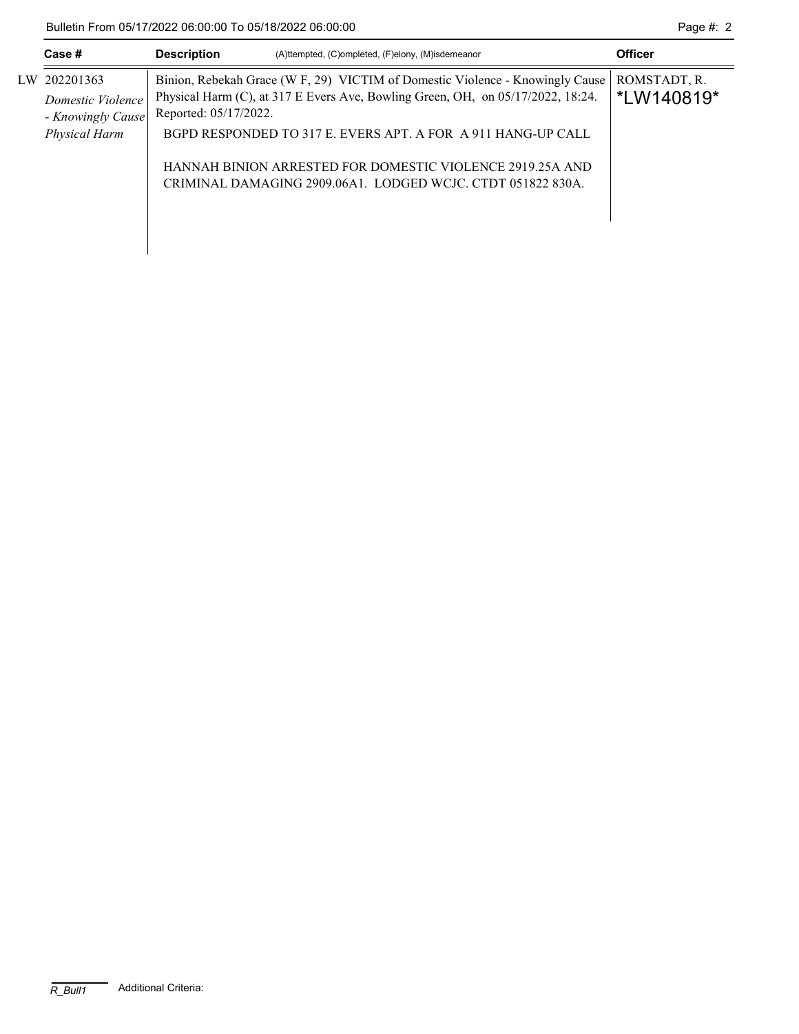Bulletin From 05/17/2022 06:00:00 To 05/18/2022 06:00:00 Page #: 2